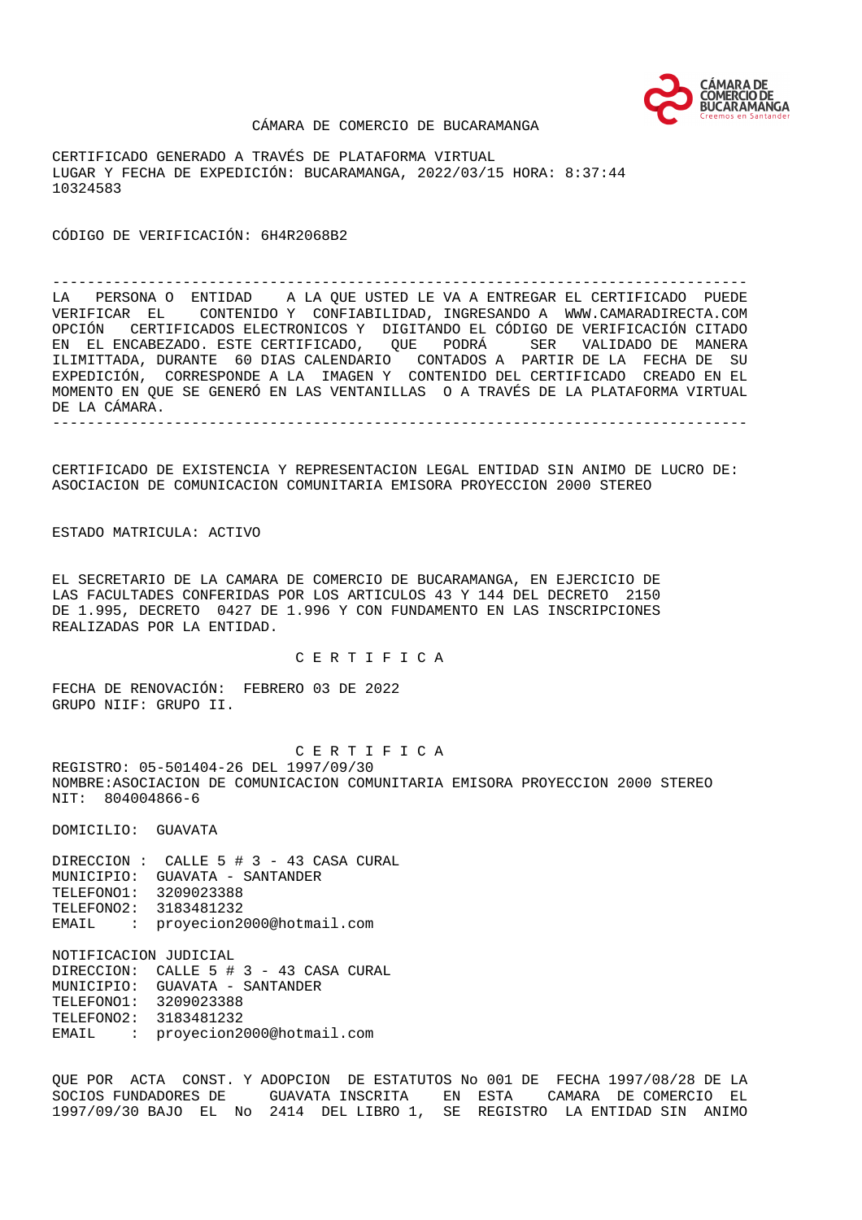

#### CÁMARA DE COMERCIO DE BUCARAMANGA

CERTIFICADO GENERADO A TRAVÉS DE PLATAFORMA VIRTUAL LUGAR Y FECHA DE EXPEDICIÓN: BUCARAMANGA, 2022/03/15 HORA: 8:37:44 10324583

CÓDIGO DE VERIFICACIÓN: 6H4R2068B2

-------------------------------------------------------------------------------- LA PERSONA O ENTIDAD A LA QUE USTED LE VA A ENTREGAR EL CERTIFICADO PUEDE VERIFICAR EL CONTENIDO Y CONFIABILIDAD, INGRESANDO A WWW.CAMARADIRECTA.COM OPCIÓN CERTIFICADOS ELECTRONICOS Y DIGITANDO EL CÓDIGO DE VERIFICACIÓN CITADO EN EL ENCABEZADO. ESTE CERTIFICADO, QUE PODRÁ SER VALIDADO DE MANERA ILIMITTADA, DURANTE 60 DIAS CALENDARIO CONTADOS A PARTIR DE LA FECHA DE SU EXPEDICIÓN, CORRESPONDE A LA IMAGEN Y CONTENIDO DEL CERTIFICADO CREADO EN EL MOMENTO EN QUE SE GENERÓ EN LAS VENTANILLAS O A TRAVÉS DE LA PLATAFORMA VIRTUAL DE LA CÁMARA. --------------------------------------------------------------------------------

CERTIFICADO DE EXISTENCIA Y REPRESENTACION LEGAL ENTIDAD SIN ANIMO DE LUCRO DE: ASOCIACION DE COMUNICACION COMUNITARIA EMISORA PROYECCION 2000 STEREO

ESTADO MATRICULA: ACTIVO

EL SECRETARIO DE LA CAMARA DE COMERCIO DE BUCARAMANGA, EN EJERCICIO DE LAS FACULTADES CONFERIDAS POR LOS ARTICULOS 43 Y 144 DEL DECRETO 2150 DE 1.995, DECRETO 0427 DE 1.996 Y CON FUNDAMENTO EN LAS INSCRIPCIONES REALIZADAS POR LA ENTIDAD.

C E R T I F I C A

FECHA DE RENOVACIÓN: FEBRERO 03 DE 2022 GRUPO NIIF: GRUPO II.

 C E R T I F I C A REGISTRO: 05-501404-26 DEL 1997/09/30 NOMBRE:ASOCIACION DE COMUNICACION COMUNITARIA EMISORA PROYECCION 2000 STEREO NIT: 804004866-6

DOMICILIO: GUAVATA

DIRECCION : CALLE 5 # 3 - 43 CASA CURAL MUNICIPIO: GUAVATA - SANTANDER TELEFONO1: 3209023388 TELEFONO2: 3183481232 EMAIL : proyecion2000@hotmail.com

NOTIFICACION JUDICIAL DIRECCION: CALLE 5 # 3 - 43 CASA CURAL MUNICIPIO: GUAVATA - SANTANDER TELEFONO1: 3209023388 TELEFONO2: 3183481232 EMAIL : proyecion2000@hotmail.com

QUE POR ACTA CONST. Y ADOPCION DE ESTATUTOS No 001 DE FECHA 1997/08/28 DE LA SOCIOS FUNDADORES DE GUAVATA INSCRITA EN ESTA CAMARA DE COMERCIO EL 1997/09/30 BAJO EL No 2414 DEL LIBRO 1, SE REGISTRO LA ENTIDAD SIN ANIMO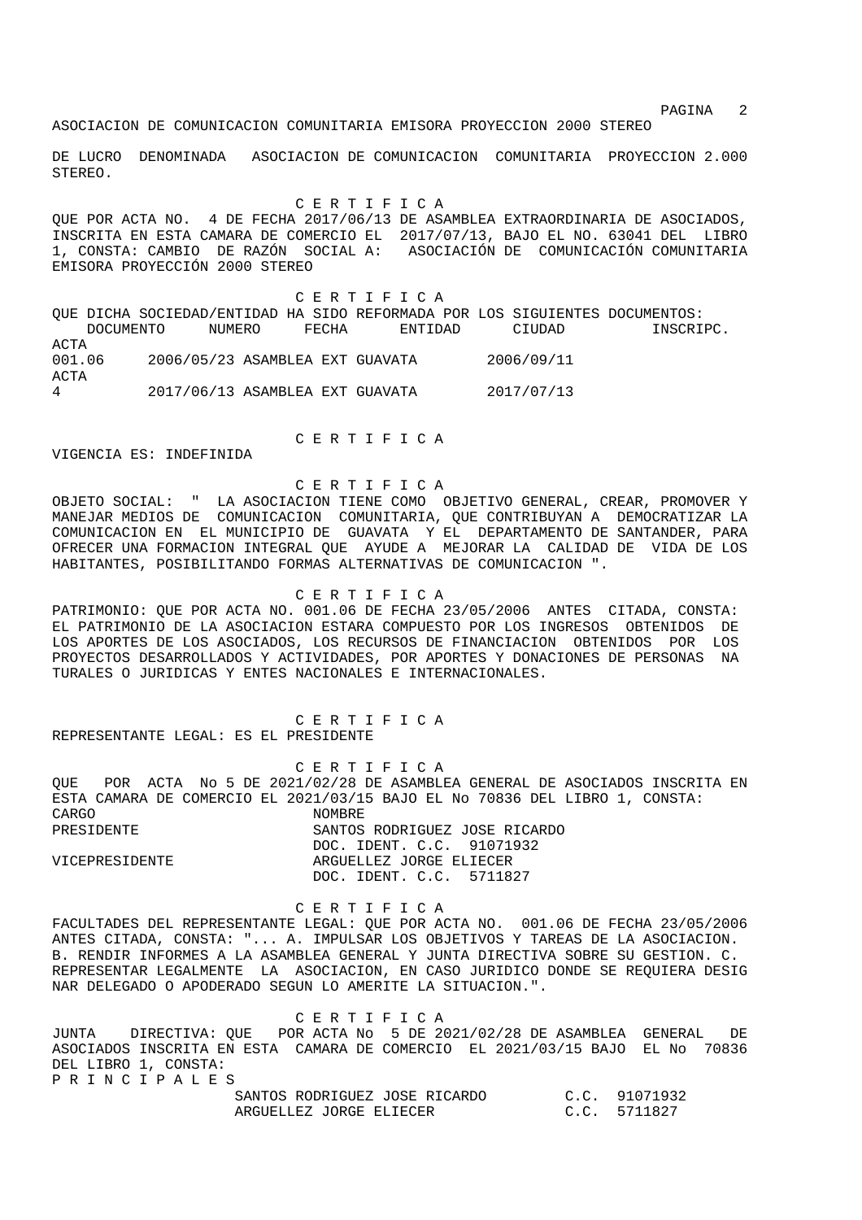experiment of the state of the state of the state of the state  $2$ 

ASOCIACION DE COMUNICACION COMUNITARIA EMISORA PROYECCION 2000 STEREO

DE LUCRO DENOMINADA ASOCIACION DE COMUNICACION COMUNITARIA PROYECCION 2.000 STEREO.

C E R T I F I C A

QUE POR ACTA NO. 4 DE FECHA 2017/06/13 DE ASAMBLEA EXTRAORDINARIA DE ASOCIADOS, INSCRITA EN ESTA CAMARA DE COMERCIO EL 2017/07/13, BAJO EL NO. 63041 DEL LIBRO 1, CONSTA: CAMBIO DE RAZÓN SOCIAL A: ASOCIACIÓN DE COMUNICACIÓN COMUNITARIA EMISORA PROYECCIÓN 2000 STEREO

 C E R T I F I C A QUE DICHA SOCIEDAD/ENTIDAD HA SIDO REFORMADA POR LOS SIGUIENTES DOCUMENTOS: DOCUMENTO NUMERO FECHA ENTIDAD CIUDAD INSCRIPC. ACTA 001.06 2006/05/23 ASAMBLEA EXT GUAVATA 2006/09/11 ACTA 4 2017/06/13 ASAMBLEA EXT GUAVATA 2017/07/13

C E R T I F I C A

VIGENCIA ES: INDEFINIDA

## C E R T I F I C A

OBJETO SOCIAL: " LA ASOCIACION TIENE COMO OBJETIVO GENERAL, CREAR, PROMOVER Y MANEJAR MEDIOS DE COMUNICACION COMUNITARIA, QUE CONTRIBUYAN A DEMOCRATIZAR LA COMUNICACION EN EL MUNICIPIO DE GUAVATA Y EL DEPARTAMENTO DE SANTANDER, PARA OFRECER UNA FORMACION INTEGRAL QUE AYUDE A MEJORAR LA CALIDAD DE VIDA DE LOS HABITANTES, POSIBILITANDO FORMAS ALTERNATIVAS DE COMUNICACION ".

## C E R T I F I C A

PATRIMONIO: QUE POR ACTA NO. 001.06 DE FECHA 23/05/2006 ANTES CITADA, CONSTA: EL PATRIMONIO DE LA ASOCIACION ESTARA COMPUESTO POR LOS INGRESOS OBTENIDOS DE LOS APORTES DE LOS ASOCIADOS, LOS RECURSOS DE FINANCIACION OBTENIDOS POR LOS PROYECTOS DESARROLLADOS Y ACTIVIDADES, POR APORTES Y DONACIONES DE PERSONAS NA TURALES O JURIDICAS Y ENTES NACIONALES E INTERNACIONALES.

C E R T I F I C A

REPRESENTANTE LEGAL: ES EL PRESIDENTE

 C E R T I F I C A QUE POR ACTA No 5 DE 2021/02/28 DE ASAMBLEA GENERAL DE ASOCIADOS INSCRITA EN ESTA CAMARA DE COMERCIO EL 2021/03/15 BAJO EL No 70836 DEL LIBRO 1, CONSTA:<br>CARGO NOMBRE. PRESIDENTE SANTOS RODRIGUEZ JOSE RICARDO DOC. IDENT. C.C. 91071932 VICEPRESIDENTE ARGUELLEZ JORGE ELIECER DOC. IDENT. C.C. 5711827

 C E R T I F I C A FACULTADES DEL REPRESENTANTE LEGAL: QUE POR ACTA NO. 001.06 DE FECHA 23/05/2006 ANTES CITADA, CONSTA: "... A. IMPULSAR LOS OBJETIVOS Y TAREAS DE LA ASOCIACION. B. RENDIR INFORMES A LA ASAMBLEA GENERAL Y JUNTA DIRECTIVA SOBRE SU GESTION. C. REPRESENTAR LEGALMENTE LA ASOCIACION, EN CASO JURIDICO DONDE SE REQUIERA DESIG NAR DELEGADO O APODERADO SEGUN LO AMERITE LA SITUACION.".

 C E R T I F I C A JUNTA DIRECTIVA: QUE POR ACTA No 5 DE 2021/02/28 DE ASAMBLEA GENERAL DE ASOCIADOS INSCRITA EN ESTA CAMARA DE COMERCIO EL 2021/03/15 BAJO EL No 70836 DEL LIBRO 1, CONSTA: P R I N C I P A L E S

| SANTOS RODRIGUEZ JOSE RICARDO | C.C. 91071932 |
|-------------------------------|---------------|
| ARGUELLEZ JORGE ELIECER       | C.C. 5711827  |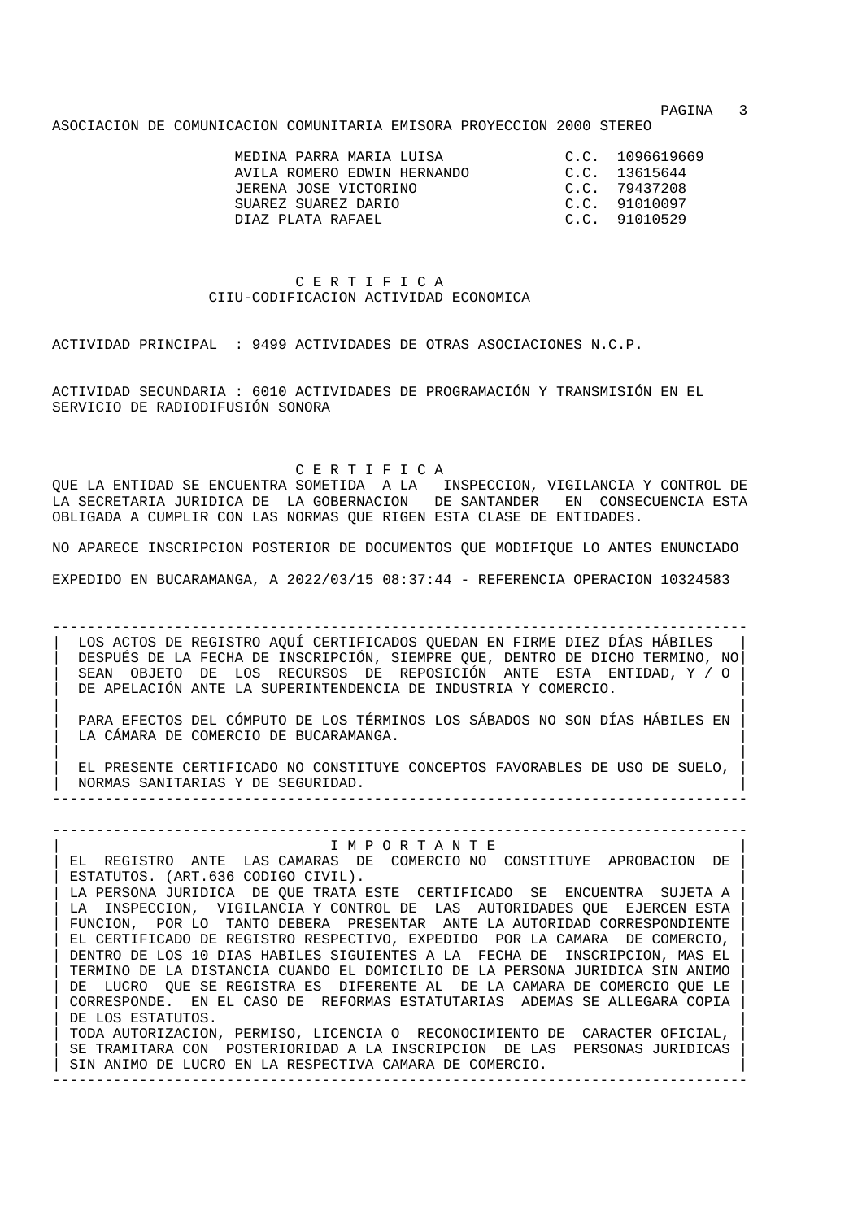experiment of the state of the state of the state of the state of the state of the state of the state of the state of the state of the state of the state of the state of the state of the state of the state of the state of

ASOCIACION DE COMUNICACION COMUNITARIA EMISORA PROYECCION 2000 STEREO

| MEDINA PARRA MARIA LUISA<br>AVILA ROMERO EDWIN HERNANDO<br>JERENA JOSE VICTORINO<br>SUAREZ SUAREZ DARIO | C.C. 1096619669<br>C.C. 13615644<br>C.C. 79437208<br>C.C. 91010097 |
|---------------------------------------------------------------------------------------------------------|--------------------------------------------------------------------|
| DIAZ PLATA RAFARI.                                                                                      | C.C. 91010529                                                      |

# C E R T I F I C A CIIU-CODIFICACION ACTIVIDAD ECONOMICA

ACTIVIDAD PRINCIPAL : 9499 ACTIVIDADES DE OTRAS ASOCIACIONES N.C.P.

ACTIVIDAD SECUNDARIA : 6010 ACTIVIDADES DE PROGRAMACIÓN Y TRANSMISIÓN EN EL SERVICIO DE RADIODIFUSIÓN SONORA

C E R T I F I C A

QUE LA ENTIDAD SE ENCUENTRA SOMETIDA A LA INSPECCION, VIGILANCIA Y CONTROL DE LA SECRETARIA JURIDICA DE LA GOBERNACION DE SANTANDER EN CONSECUENCIA ESTA OBLIGADA A CUMPLIR CON LAS NORMAS QUE RIGEN ESTA CLASE DE ENTIDADES.

NO APARECE INSCRIPCION POSTERIOR DE DOCUMENTOS QUE MODIFIQUE LO ANTES ENUNCIADO

EXPEDIDO EN BUCARAMANGA, A 2022/03/15 08:37:44 - REFERENCIA OPERACION 10324583

-------------------------------------------------------------------------------- LOS ACTOS DE REGISTRO AQUÍ CERTIFICADOS QUEDAN EN FIRME DIEZ DÍAS HÁBILES | DESPUÉS DE LA FECHA DE INSCRIPCIÓN, SIEMPRE QUE, DENTRO DE DICHO TERMINO, NO| | SEAN OBJETO DE LOS RECURSOS DE REPOSICIÓN ANTE ESTA ENTIDAD, Y / O | DE APELACIÓN ANTE LA SUPERINTENDENCIA DE INDUSTRIA Y COMERCIO.

| | | PARA EFECTOS DEL CÓMPUTO DE LOS TÉRMINOS LOS SÁBADOS NO SON DÍAS HÁBILES EN | LA CÁMARA DE COMERCIO DE BUCARAMANGA.

| | | EL PRESENTE CERTIFICADO NO CONSTITUYE CONCEPTOS FAVORABLES DE USO DE SUELO, | | NORMAS SANITARIAS Y DE SEGURIDAD. | --------------------------------------------------------------------------------

## -------------------------------------------------------------------------------- | I M P O R T A N T E | EL REGISTRO ANTE LAS CAMARAS DE COMERCIO NO CONSTITUYE APROBACION DE

ESTATUTOS. (ART.636 CODIGO CIVIL). LA PERSONA JURIDICA DE QUE TRATA ESTE CERTIFICADO SE ENCUENTRA SUJETA A LA INSPECCION, VIGILANCIA Y CONTROL DE LAS AUTORIDADES QUE EJERCEN ESTA FUNCION, POR LO TANTO DEBERA PRESENTAR ANTE LA AUTORIDAD CORRESPONDIENTE | EL CERTIFICADO DE REGISTRO RESPECTIVO, EXPEDIDO POR LA CAMARA DE COMERCIO, | | DENTRO DE LOS 10 DIAS HABILES SIGUIENTES A LA FECHA DE INSCRIPCION, MAS EL | | TERMINO DE LA DISTANCIA CUANDO EL DOMICILIO DE LA PERSONA JURIDICA SIN ANIMO | | DE LUCRO QUE SE REGISTRA ES DIFERENTE AL DE LA CAMARA DE COMERCIO QUE LE | | CORRESPONDE. EN EL CASO DE REFORMAS ESTATUTARIAS ADEMAS SE ALLEGARA COPIA | DE LOS ESTATUTOS. | TODA AUTORIZACION, PERMISO, LICENCIA O RECONOCIMIENTO DE CARACTER OFICIAL, | SE TRAMITARA CON POSTERIORIDAD A LA INSCRIPCION DE LAS PERSONAS JURIDICAS SIN ANIMO DE LUCRO EN LA RESPECTIVA CAMARA DE COMERCIO.